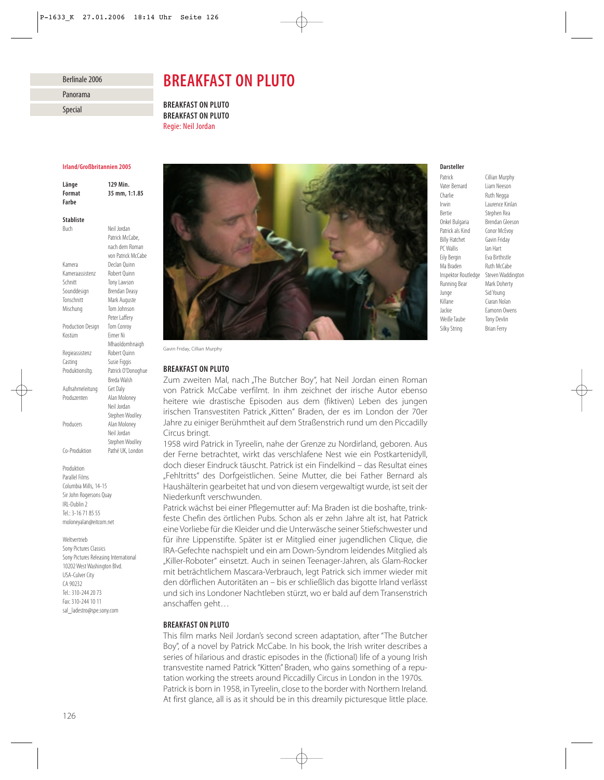# Berlinale 2006

# Panorama

Special

# *BREAKFAST ON PLUTO*

*BREAKFAST ON PLUTO BREAKFAST ON PLUTO* Regie: Neil Jordan

#### *Irland/Großbritannien 2005*

*Länge 129 Min. Format 35 mm, 1:1.85 Farbe*

*Stabliste* Buch Neil Jordan

Patrick McCabe. nach dem Roman von Patrick McCabe Kamera Declan Quinn Kameraassistenz Robert Quinn Schnitt Tony Lawson Sounddesign Brendan Deasy Tonschnitt Mark Auguste Mischung Tom Johnson Peter Laffery Production Design Tom Conroy Kostüm Eimer Ni Mhaoldomhnaigh Regieassistenz Robert Quinn Casting Susie Figgis Produktionsltg. Patrick O'Donoghue Breda Walsh Aufnahmeleitung Get Daly Produzenten Alan Moloney Neil Jordan Stephen Woolley Producers Alan Moloney Neil Jordan Stephen Woolley

Co-Produktion Pathé UK, London

Produktion

Parallel Films Columbia Mills, 14-15 Sir John Rogersons Quay IRL-Dublin 2 Tel.: 3-16 71 85 55 moloneyalan@eitcom.net

#### Weltvertrieb

Sony Pictures Classics Sony Pictures Releasing International 10202 West Washington Blvd. USA-Culver City CA 90232 Tel.: 310-244 20 73 Fax: 310-244 10 11 sal\_ladestro@spe.sony.com



Gavin Friday, Cillian Murphy

### *BREAKFAST ON PLUTO*

Zum zweiten Mal, nach "The Butcher Boy", hat Neil Jordan einen Roman von Patrick McCabe verfilmt. In ihm zeichnet der irische Autor ebenso heitere wie drastische Episoden aus dem (fiktiven) Leben des jungen irischen Transvestiten Patrick "Kitten" Braden, der es im London der 70er Jahre zu einiger Berühmtheit auf dem Straßenstrich rund um den Piccadilly Circus bringt.

1958 wird Patrick in Tyreelin, nahe der Grenze zu Nordirland, geboren. Aus der Ferne betrachtet, wirkt das verschlafene Nest wie ein Postkartenidyll, doch dieser Eindruck täuscht. Patrick ist ein Findelkind – das Resultat eines "Fehltritts" des Dorfgeistlichen. Seine Mutter, die bei Father Bernard als Haushälterin gearbeitet hat und von diesem vergewaltigt wurde, ist seit der Niederkunft verschwunden.

Patrick wächst bei einer Pflegemutter auf: Ma Braden ist die boshafte, trinkfeste Chefin des örtlichen Pubs. Schon als er zehn Jahre alt ist, hat Patrick eine Vorliebe für die Kleider und die Unterwäsche seiner Stiefschwester und für ihre Lippenstifte. Später ist er Mitglied einer jugendlichen Clique, die IRA-Gefechte nachspielt und ein am Down-Syndrom leidendes Mitglied als "Killer-Roboter" einsetzt. Auch in seinen Teenager-Jahren, als Glam-Rocker mit beträchtlichem Mascara-Verbrauch, legt Patrick sich immer wieder mit den dörflichen Autoritäten an – bis er schließlich das bigotte Irland verlässt und sich ins Londoner Nachtleben stürzt, wo er bald auf dem Transenstrich anschaffen geht…

# *BREAKFAST ON PLUTO*

This film marks Neil Jordan's second screen adaptation, after "The Butcher Boy", of a novel by Patrick McCabe. In his book, the Irish writer describes a series of hilarious and drastic episodes in the (fictional) life of a young Irish transvestite named Patrick "Kitten" Braden, who gains something of a reputation working the streets around Piccadilly Circus in London in the 1970s. Patrick is born in 1958, in Tyreelin, close to the border with Northern Ireland. At first glance, all is as it should be in this dreamily picturesque little place.

# *Darsteller*

Vater Bernard Charlie Ruth Negga Irwin Laurence Kinlan Bertie Stephen Rea Onkel Bulgaria Brendan Gleeson Patrick als Kind Conor McEvoy Billy Hatchet Gavin Friday PC Wallis Ian Hart Eily Bergin Eva Birthistle<br>Ma Braden Ruth McCabe Inspektor Routledge Steven Waddington Running Bear Mark Doherty Junge Sid Young Killane Ciaran Nolan Jackie Eamonn Owens Weiße Taube Tony Devlin Silky String Brian Ferry

Patrick Cillian Murphy<br>
Vater Bernard Liam Neeson Ruth McCabe